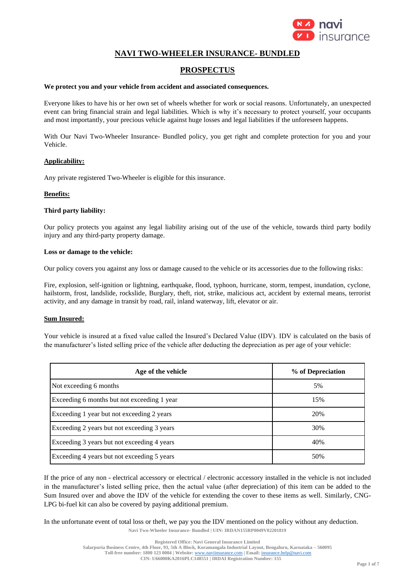

# **NAVI TWO-WHEELER INSURANCE- BUNDLED**

# **PROSPECTUS**

#### **We protect you and your vehicle from accident and associated consequences.**

Everyone likes to have his or her own set of wheels whether for work or social reasons. Unfortunately, an unexpected event can bring financial strain and legal liabilities. Which is why it's necessary to protect yourself, your occupants and most importantly, your precious vehicle against huge losses and legal liabilities if the unforeseen happens.

With Our Navi Two-Wheeler Insurance- Bundled policy, you get right and complete protection for you and your Vehicle.

# **Applicability:**

Any private registered Two-Wheeler is eligible for this insurance.

### **Benefits:**

### **Third party liability:**

Our policy protects you against any legal liability arising out of the use of the vehicle, towards third party bodily injury and any third-party property damage.

### **Loss or damage to the vehicle:**

Our policy covers you against any loss or damage caused to the vehicle or its accessories due to the following risks:

Fire, explosion, self-ignition or lightning, earthquake, flood, typhoon, hurricane, storm, tempest, inundation, cyclone, hailstorm, frost, landslide, rockslide, Burglary, theft, riot, strike, malicious act, accident by external means, terrorist activity, and any damage in transit by road, rail, inland waterway, lift, elevator or air.

# **Sum Insured:**

Your vehicle is insured at a fixed value called the Insured's Declared Value (IDV). IDV is calculated on the basis of the manufacturer's listed selling price of the vehicle after deducting the depreciation as per age of your vehicle:

| Age of the vehicle                          | % of Depreciation |
|---------------------------------------------|-------------------|
| Not exceeding 6 months                      | 5%                |
| Exceeding 6 months but not exceeding 1 year | 15%               |
| Exceeding 1 year but not exceeding 2 years  | 20%               |
| Exceeding 2 years but not exceeding 3 years | 30%               |
| Exceeding 3 years but not exceeding 4 years | 40%               |
| Exceeding 4 years but not exceeding 5 years | 50%               |

If the price of any non - electrical accessory or electrical / electronic accessory installed in the vehicle is not included in the manufacturer's listed selling price, then the actual value (after depreciation) of this item can be added to the Sum Insured over and above the IDV of the vehicle for extending the cover to these items as well. Similarly, CNG-LPG bi-fuel kit can also be covered by paying additional premium.

**Navi Two-Wheeler Insurance- Bundled | UIN: IRDAN155RP0049V02201819** In the unfortunate event of total loss or theft, we pay you the IDV mentioned on the policy without any deduction.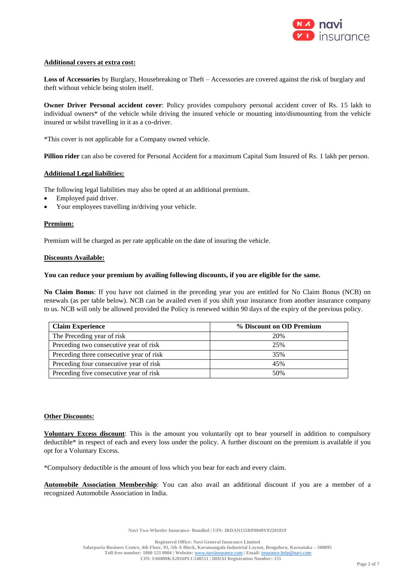

### **Additional covers at extra cost:**

**Loss of Accessories** by Burglary, Housebreaking or Theft – Accessories are covered against the risk of burglary and theft without vehicle being stolen itself.

**Owner Driver Personal accident cover**: Policy provides compulsory personal accident cover of Rs. 15 lakh to individual owners\* of the vehicle while driving the insured vehicle or mounting into/dismounting from the vehicle insured or whilst travelling in it as a co-driver.

\*This cover is not applicable for a Company owned vehicle.

**Pillion rider** can also be covered for Personal Accident for a maximum Capital Sum Insured of Rs. 1 lakh per person.

### **Additional Legal liabilities:**

The following legal liabilities may also be opted at an additional premium.

- Employed paid driver.
- Your employees travelling in/driving your vehicle.

# **Premium:**

Premium will be charged as per rate applicable on the date of insuring the vehicle.

### **Discounts Available:**

### **You can reduce your premium by availing following discounts, if you are eligible for the same.**

**No Claim Bonus**: If you have not claimed in the preceding year you are entitled for No Claim Bonus (NCB) on renewals (as per table below). NCB can be availed even if you shift your insurance from another insurance company to us. NCB will only be allowed provided the Policy is renewed within 90 days of the expiry of the previous policy.

| <b>Claim Experience</b>                  | % Discount on OD Premium |
|------------------------------------------|--------------------------|
| The Preceding year of risk               | 20%                      |
| Preceding two consecutive year of risk   | 25%                      |
| Preceding three consecutive year of risk | 35%                      |
| Preceding four consecutive year of risk  | 45%                      |
| Preceding five consecutive year of risk  | 50%                      |

# **Other Discounts:**

**Voluntary Excess discount**: This is the amount you voluntarily opt to bear yourself in addition to compulsory deductible\* in respect of each and every loss under the policy. A further discount on the premium is available if you opt for a Voluntary Excess.

\*Compulsory deductible is the amount of loss which you bear for each and every claim.

**Automobile Association Membership**: You can also avail an additional discount if you are a member of a recognized Automobile Association in India.

**Navi Two-Wheeler Insurance- Bundled | UIN: IRDAN155RP0049V02201819**

**Registered Office: Navi General Insurance Limited**

**Salarpuria Business Centre, 4th Floor, 93, 5th A Block, Koramangala Industrial Layout, Bengaluru, Karnataka – 560095 Toll-free number: 1800 123 0004 | Website:** [www.naviinsurance.com](http://www.naviinsurance.com/) **| Email:** [insurance.help@navi.com](mailto:insurance.help@navi.com) **CIN: U66000KA2016PLC148551 | IRDAI Registration Number: 155**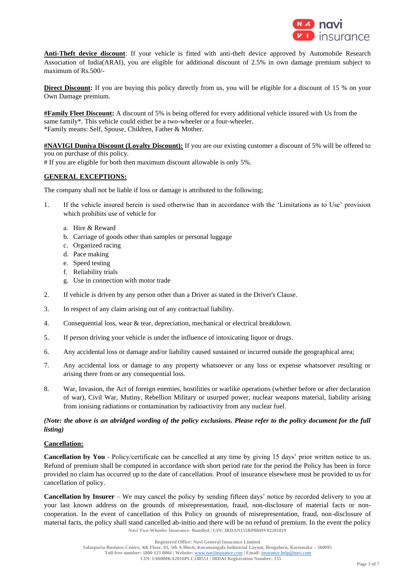

**Anti-Theft device discount**: If your vehicle is fitted with anti-theft device approved by Automobile Research Association of India(ARAI), you are eligible for additional discount of 2.5% in own damage premium subject to maximum of Rs.500/-

**Direct Discount:** If you are buying this policy directly from us, you will be eligible for a discount of 15 % on your Own Damage premium.

**#Family Fleet Discount:** A discount of 5% is being offered for every additional vehicle insured with Us from the same family\*. This vehicle could either be a two-wheeler or a four-wheeler. \*Family means: Self, Spouse, Children, Father & Mother.

**#NAVIGI Duniya Discount (Loyalty Discount):** If you are our existing customer a discount of 5% will be offered to you on purchase of this policy.

# If you are eligible for both then maximum discount allowable is only 5%.

# **GENERAL EXCEPTIONS:**

The company shall not be liable if loss or damage is attributed to the following;

- 1. If the vehicle insured herein is used otherwise than in accordance with the 'Limitations as to Use' provision which prohibits use of vehicle for
	- a. Hire & Reward
	- b. Carriage of goods other than samples or personal luggage
	- c. Organized racing
	- d. Pace making
	- e. Speed testing
	- f. Reliability trials
	- g. Use in connection with motor trade
- 2. If vehicle is driven by any person other than a Driver as stated in the Driver's Clause.
- 3. In respect of any claim arising out of any contractual liability.
- 4. Consequential loss, wear & tear, depreciation, mechanical or electrical breakdown.
- 5. If person driving your vehicle is under the influence of intoxicating liquor or drugs.
- 6. Any accidental loss or damage and/or liability caused sustained or incurred outside the geographical area;
- 7. Any accidental loss or damage to any property whatsoever or any loss or expense whatsoever resulting or arising there from or any consequential loss.
- 8. War, Invasion, the Act of foreign enemies, hostilities or warlike operations (whether before or after declaration of war), Civil War, Mutiny, Rebellion Military or usurped power, nuclear weapons material, liability arising from ionising radiations or contamination by radioactivity from any nuclear fuel.

# *(Note: the above is an abridged wording of the policy exclusions. Please refer to the policy document for the full listing)*

# **Cancellation:**

**Cancellation by You** - Policy/certificate can be cancelled at any time by giving 15 days' prior written notice to us. Refund of premium shall be computed in accordance with short period rate for the period the Policy has been in force provided no claim has occurred up to the date of cancellation. Proof of insurance elsewhere must be provided to us for cancellation of policy.

**Navi Two-Wheeler Insurance- Bundled | UIN: IRDAN155RP0049V02201819 Cancellation by Insurer** – We may cancel the policy by sending fifteen days' notice by recorded delivery to you at your last known address on the grounds of misrepresentation, fraud, non-disclosure of material facts or noncooperation. In the event of cancellation of this Policy on grounds of misrepresentation, fraud, non-disclosure of material facts, the policy shall stand cancelled ab-initio and there will be no refund of premium. In the event the policy

**Registered Office: Navi General Insurance Limited**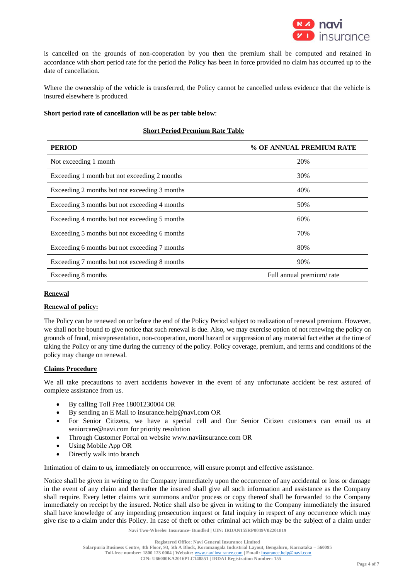

is cancelled on the grounds of non-cooperation by you then the premium shall be computed and retained in accordance with short period rate for the period the Policy has been in force provided no claim has occurred up to the date of cancellation.

Where the ownership of the vehicle is transferred, the Policy cannot be cancelled unless evidence that the vehicle is insured elsewhere is produced.

# **Short period rate of cancellation will be as per table below**:

# **Short Period Premium Rate Table**

| <b>PERIOD</b>                                 | % OF ANNUAL PREMIUM RATE |
|-----------------------------------------------|--------------------------|
| Not exceeding 1 month                         | 20%                      |
| Exceeding 1 month but not exceeding 2 months  | 30%                      |
| Exceeding 2 months but not exceeding 3 months | 40%                      |
| Exceeding 3 months but not exceeding 4 months | 50%                      |
| Exceeding 4 months but not exceeding 5 months | 60%                      |
| Exceeding 5 months but not exceeding 6 months | 70%                      |
| Exceeding 6 months but not exceeding 7 months | 80%                      |
| Exceeding 7 months but not exceeding 8 months | 90%                      |
| Exceeding 8 months                            | Full annual premium/rate |

# **Renewal**

# **Renewal of policy:**

The Policy can be renewed on or before the end of the Policy Period subject to realization of renewal premium. However, we shall not be bound to give notice that such renewal is due. Also, we may exercise option of not renewing the policy on grounds of fraud, misrepresentation, non-cooperation, moral hazard or suppression of any material fact either at the time of taking the Policy or any time during the currency of the policy. Policy coverage, premium, and terms and conditions of the policy may change on renewal.

# **Claims Procedure**

We all take precautions to avert accidents however in the event of any unfortunate accident be rest assured of complete assistance from us.

- By calling Toll Free 18001230004 OR
- By sending an E Mail to [insurance.help@navi.com](mailto:insurance.help@navi.com) OR
- For Senior Citizens, we have a special cell and Our Senior Citizen customers can email us at [seniorcare@navi.com](mailto:seniorcare@navi.com) for priority resolution
- Through Customer Portal on website [www.naviinsurance.com](http://www.naviinsurance.com/) OR
- Using Mobile App OR
- Directly walk into branch

Intimation of claim to us, immediately on occurrence, will ensure prompt and effective assistance.

Notice shall be given in writing to the Company immediately upon the occurrence of any accidental or loss or damage in the event of any claim and thereafter the insured shall give all such information and assistance as the Company shall require. Every letter claims writ summons and/or process or copy thereof shall be forwarded to the Company immediately on receipt by the insured. Notice shall also be given in writing to the Company immediately the insured shall have knowledge of any impending prosecution inquest or fatal inquiry in respect of any occurrence which may give rise to a claim under this Policy. In case of theft or other criminal act which may be the subject of a claim under

**Navi Two-Wheeler Insurance- Bundled | UIN: IRDAN155RP0049V02201819**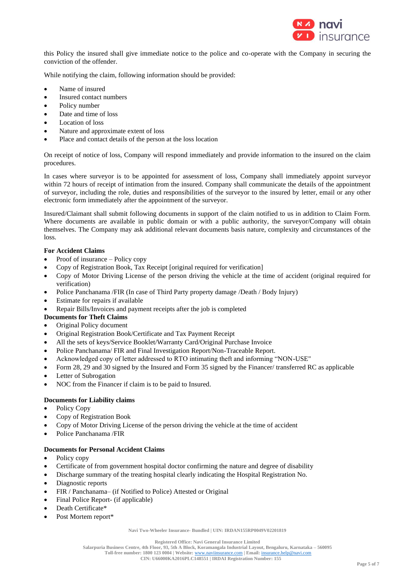

this Policy the insured shall give immediate notice to the police and co-operate with the Company in securing the conviction of the offender.

While notifying the claim, following information should be provided:

- Name of insured
- Insured contact numbers
- Policy number
- Date and time of loss
- Location of loss
- Nature and approximate extent of loss
- Place and contact details of the person at the loss location

On receipt of notice of loss, Company will respond immediately and provide information to the insured on the claim procedures.

In cases where surveyor is to be appointed for assessment of loss, Company shall immediately appoint surveyor within 72 hours of receipt of intimation from the insured. Company shall communicate the details of the appointment of surveyor, including the role, duties and responsibilities of the surveyor to the insured by letter, email or any other electronic form immediately after the appointment of the surveyor.

Insured/Claimant shall submit following documents in support of the claim notified to us in addition to Claim Form. Where documents are available in public domain or with a public authority, the surveyor/Company will obtain themselves. The Company may ask additional relevant documents basis nature, complexity and circumstances of the loss.

# **For Accident Claims**

- Proof of insurance Policy copy
- Copy of Registration Book, Tax Receipt [original required for verification]
- Copy of Motor Driving License of the person driving the vehicle at the time of accident (original required for verification)
- Police Panchanama /FIR (In case of Third Party property damage /Death / Body Injury)
- Estimate for repairs if available
- Repair Bills/Invoices and payment receipts after the job is completed

# **Documents for Theft Claims**

- Original Policy document
- Original Registration Book/Certificate and Tax Payment Receipt
- All the sets of keys/Service Booklet/Warranty Card/Original Purchase Invoice
- Police Panchanama/ FIR and Final Investigation Report/Non-Traceable Report.
- Acknowledged copy of letter addressed to RTO intimating theft and informing "NON-USE"
- Form 28, 29 and 30 signed by the Insured and Form 35 signed by the Financer/ transferred RC as applicable
- Letter of Subrogation
- NOC from the Financer if claim is to be paid to Insured.

# **Documents for Liability claims**

- Policy Copy
- Copy of Registration Book
- Copy of Motor Driving License of the person driving the vehicle at the time of accident
- Police Panchanama /FIR

# **Documents for Personal Accident Claims**

- Policy copy
- Certificate of from government hospital doctor confirming the nature and degree of disability
- Discharge summary of the treating hospital clearly indicating the Hospital Registration No.
- Diagnostic reports
- FIR / Panchanama– (if Notified to Police) Attested or Original
- Final Police Report- (if applicable)
- Death Certificate\*
- Post Mortem report\*

**Navi Two-Wheeler Insurance- Bundled | UIN: IRDAN155RP0049V02201819**

**Registered Office: Navi General Insurance Limited**

**Salarpuria Business Centre, 4th Floor, 93, 5th A Block, Koramangala Industrial Layout, Bengaluru, Karnataka – 560095 Toll-free number: 1800 123 0004 | Website:** [www.naviinsurance.com](http://www.naviinsurance.com/) **| Email:** [insurance.help@navi.com](mailto:insurance.help@navi.com)

**CIN: U66000KA2016PLC148551 | IRDAI Registration Number: 155**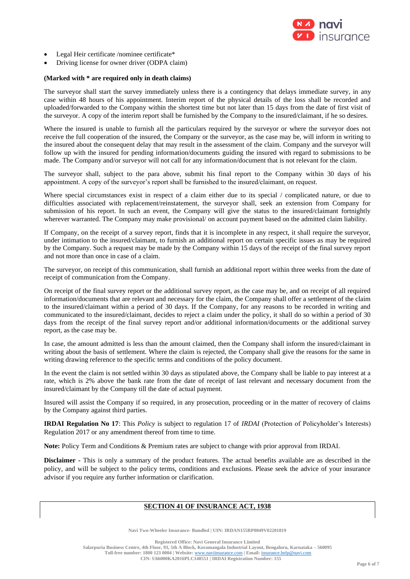

- Legal Heir certificate /nominee certificate\*
- Driving license for owner driver (ODPA claim)

#### **(Marked with \* are required only in death claims)**

The surveyor shall start the survey immediately unless there is a contingency that delays immediate survey, in any case within 48 hours of his appointment. Interim report of the physical details of the loss shall be recorded and uploaded/forwarded to the Company within the shortest time but not later than 15 days from the date of first visit of the surveyor. A copy of the interim report shall be furnished by the Company to the insured/claimant, if he so desires.

Where the insured is unable to furnish all the particulars required by the surveyor or where the surveyor does not receive the full cooperation of the insured, the Company or the surveyor, as the case may be, will inform in writing to the insured about the consequent delay that may result in the assessment of the claim. Company and the surveyor will follow up with the insured for pending information/documents guiding the insured with regard to submissions to be made. The Company and/or surveyor will not call for any information/document that is not relevant for the claim.

The surveyor shall, subject to the para above, submit his final report to the Company within 30 days of his appointment. A copy of the surveyor's report shall be furnished to the insured/claimant, on request.

Where special circumstances exist in respect of a claim either due to its special / complicated nature, or due to difficulties associated with replacement/reinstatement, the surveyor shall, seek an extension from Company for submission of his report. In such an event, the Company will give the status to the insured/claimant fortnightly wherever warranted. The Company may make provisional/ on account payment based on the admitted claim liability.

If Company, on the receipt of a survey report, finds that it is incomplete in any respect, it shall require the surveyor, under intimation to the insured/claimant, to furnish an additional report on certain specific issues as may be required by the Company. Such a request may be made by the Company within 15 days of the receipt of the final survey report and not more than once in case of a claim.

The surveyor, on receipt of this communication, shall furnish an additional report within three weeks from the date of receipt of communication from the Company.

On receipt of the final survey report or the additional survey report, as the case may be, and on receipt of all required information/documents that are relevant and necessary for the claim, the Company shall offer a settlement of the claim to the insured/claimant within a period of 30 days. If the Company, for any reasons to be recorded in writing and communicated to the insured/claimant, decides to reject a claim under the policy, it shall do so within a period of 30 days from the receipt of the final survey report and/or additional information/documents or the additional survey report, as the case may be.

In case, the amount admitted is less than the amount claimed, then the Company shall inform the insured/claimant in writing about the basis of settlement. Where the claim is rejected, the Company shall give the reasons for the same in writing drawing reference to the specific terms and conditions of the policy document.

In the event the claim is not settled within 30 days as stipulated above, the Company shall be liable to pay interest at a rate, which is 2% above the bank rate from the date of receipt of last relevant and necessary document from the insured/claimant by the Company till the date of actual payment.

Insured will assist the Company if so required, in any prosecution, proceeding or in the matter of recovery of claims by the Company against third parties.

**IRDAI Regulation No 17**: This *Policy* is subject to regulation 17 of *IRDAI* (Protection of Policyholder's Interests) Regulation 2017 or any amendment thereof from time to time.

**Note:** Policy Term and Conditions & Premium rates are subject to change with prior approval from IRDAI.

**Disclaimer -** This is only a summary of the product features. The actual benefits available are as described in the policy, and will be subject to the policy terms, conditions and exclusions. Please seek the advice of your insurance advisor if you require any further information or clarification.

# **SECTION 41 OF INSURANCE ACT, 1938**

**Navi Two-Wheeler Insurance- Bundled | UIN: IRDAN155RP0049V02201819**

**Registered Office: Navi General Insurance Limited**

**Salarpuria Business Centre, 4th Floor, 93, 5th A Block, Koramangala Industrial Layout, Bengaluru, Karnataka – 560095 Toll-free number: 1800 123 0004 | Website:** [www.naviinsurance.com](http://www.naviinsurance.com/) **| Email:** [insurance.help@navi.com](mailto:insurance.help@navi.com) **CIN: U66000KA2016PLC148551 | IRDAI Registration Number: 155**